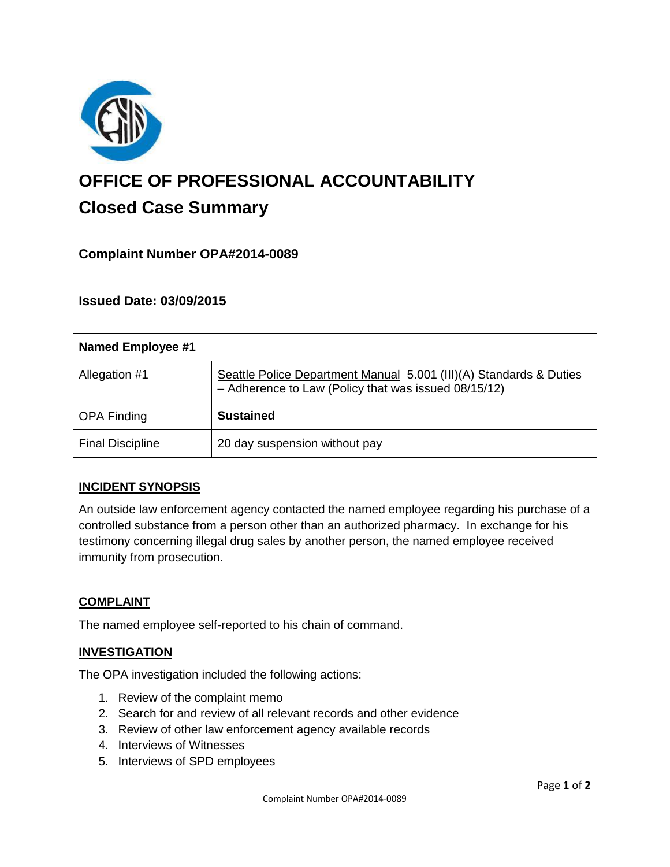

# **OFFICE OF PROFESSIONAL ACCOUNTABILITY Closed Case Summary**

## **Complaint Number OPA#2014-0089**

## **Issued Date: 03/09/2015**

| <b>Named Employee #1</b> |                                                                                                                            |
|--------------------------|----------------------------------------------------------------------------------------------------------------------------|
| Allegation #1            | Seattle Police Department Manual 5.001 (III)(A) Standards & Duties<br>- Adherence to Law (Policy that was issued 08/15/12) |
| <b>OPA Finding</b>       | <b>Sustained</b>                                                                                                           |
| <b>Final Discipline</b>  | 20 day suspension without pay                                                                                              |

#### **INCIDENT SYNOPSIS**

An outside law enforcement agency contacted the named employee regarding his purchase of a controlled substance from a person other than an authorized pharmacy. In exchange for his testimony concerning illegal drug sales by another person, the named employee received immunity from prosecution.

#### **COMPLAINT**

The named employee self-reported to his chain of command.

#### **INVESTIGATION**

The OPA investigation included the following actions:

- 1. Review of the complaint memo
- 2. Search for and review of all relevant records and other evidence
- 3. Review of other law enforcement agency available records
- 4. Interviews of Witnesses
- 5. Interviews of SPD employees